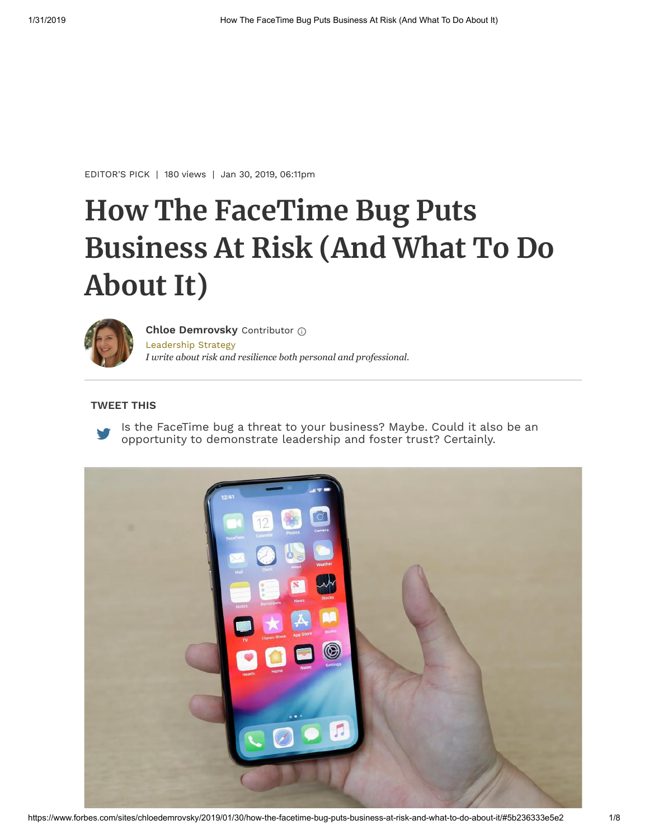[EDITOR'S PICK](https://www.forbes.com/editors-picks/) | 180 views | Jan 30, 2019, 06:11pm

# **How The FaceTime Bug Puts Business At Risk (And What To Do About It)**



[Leadership Strategy](https://www.forbes.com/leadership-strategy/) *I write about risk and resilience both personal and professional.* **[Chloe Demrovsky](https://www.forbes.com/sites/chloedemrovsky/)** Contributor

#### **TWEET THIS**

V Is the FaceTime bug a [threat to your business? Maybe. Could it also be an](https://twitter.com/intent/tweet?url=http%3A%2F%2Fwww.forbes.com%2Fsites%2Fchloedemrovsky%2F2019%2F01%2F30%2Fhow-the-facetime-bug-puts-business-at-risk-and-what-to-do-about-it%2F&text=Is%20the%20FaceTime%20bug%20a%20threat%20to%20business%3F%20Maybe.%20Could%20it%20be%20an%20opportunity%20to%20show%20leadership%20and%20foster%20trust%3F%20Yes.) opportunity to demonstrate leadership and foster trust? Certainly.

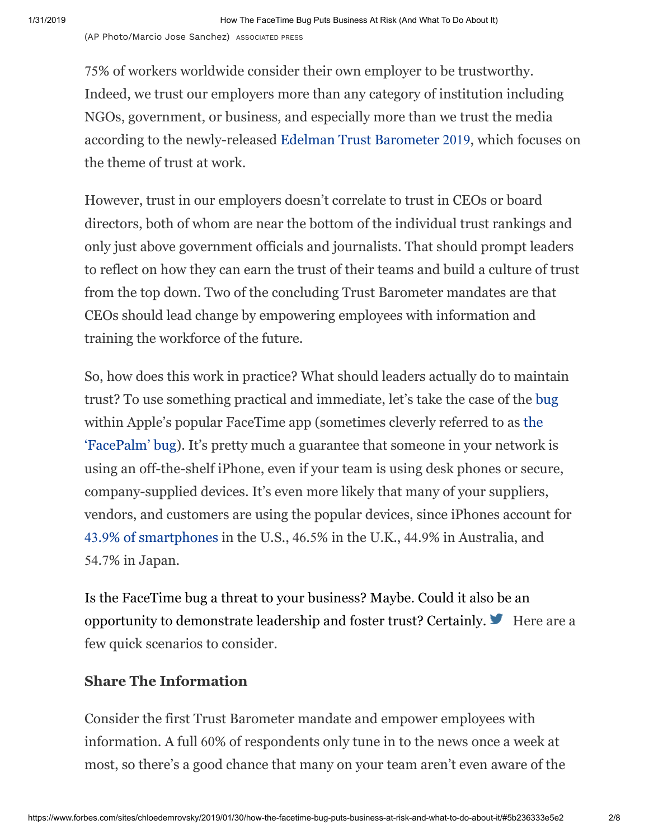(AP Photo/Marcio Jose Sanchez) ASSOCIATED PRESS

75% of workers worldwide consider their own employer to be trustworthy. Indeed, we trust our employers more than any category of institution including NGOs, government, or business, and especially more than we trust the media according to the newly-released [Edelman Trust Barometer](https://www.edelman.com/trust-barometer) 2019, which focuses on the theme of trust at work.

However, trust in our employers doesn't correlate to trust in CEOs or board directors, both of whom are near the bottom of the individual trust rankings and only just above government officials and journalists. That should prompt leaders to reflect on how they can earn the trust of their teams and build a culture of trust from the top down. Two of the concluding Trust Barometer mandates are that CEOs should lead change by empowering employees with information and training the workforce of the future.

So, how does this work in practice? What should leaders actually do to maintain trust? To use something practical and immediate, let's take the case of the [bug](https://www.forbes.com/sites/daveywinder/2019/01/29/apple-confirms-iphone-facetime-eavesdropping-exploit-heres-what-to-do/#65588943745b) [within Apple's popular FaceTime app \(sometimes cleverly referred to as the](https://www.nytimes.com/2019/01/29/technology/facetime-glitch-apple.html) 'FacePalm' bug). It's pretty much a guarantee that someone in your network is using an off-the-shelf iPhone, even if your team is using desk phones or secure, company-supplied devices. It's even more likely that many of your suppliers, vendors, and customers are using the popular devices, since iPhones account for 43.9[% of smartphones](https://www.pcmag.com/news/358840/70-8-percent-of-us-phones-sold-by-samsung-apple) in the U.S., 46.5% in the U.K., 44.9% in Australia, and 54.7% in Japan.

[Is the FaceTime bug a threat to your business? Maybe. Could it also be an](https://twitter.com/intent/tweet?url=http%3A%2F%2Fwww.forbes.com%2Fsites%2Fchloedemrovsky%2F2019%2F01%2F30%2Fhow-the-facetime-bug-puts-business-at-risk-and-what-to-do-about-it%2F&text=Is%20the%20FaceTime%20bug%20a%20threat%20to%20business%3F%20Maybe.%20Could%20it%20be%20an%20opportunity%20to%20show%20leadership%20and%20foster%20trust%3F%20Yes.) opportunity to demonstrate leadership and foster trust? Certainly.  $\blacktriangleright$  Here are a few quick scenarios to consider.

### **Share The Information**

Consider the first Trust Barometer mandate and empower employees with information. A full 60% of respondents only tune in to the news once a week at most, so there's a good chance that many on your team aren't even aware of the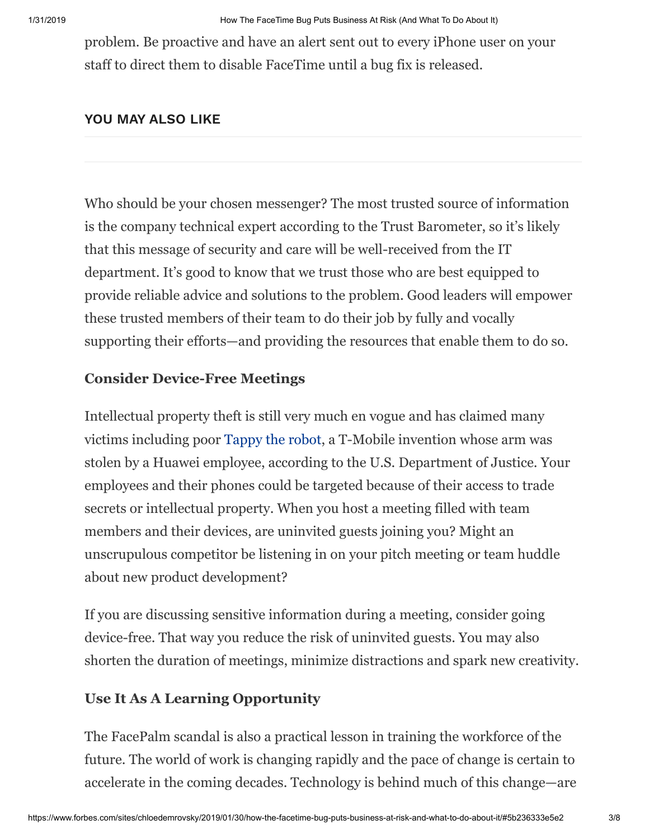problem. Be proactive and have an alert sent out to every iPhone user on your staff to direct them to disable FaceTime until a bug fix is released.

#### **YOU MAY ALSO LIKE**

Who should be your chosen messenger? The most trusted source of information is the company technical expert according to the Trust Barometer, so it's likely that this message of security and care will be well-received from the IT department. It's good to know that we trust those who are best equipped to provide reliable advice and solutions to the problem. Good leaders will empower these trusted members of their team to do their job by fully and vocally supporting their efforts—and providing the resources that enable them to do so.

### **Consider Device-Free Meetings**

Intellectual property theft is still very much en vogue and has claimed many victims including poor [Tappy the robot,](https://www.npr.org/2019/01/29/689663720/a-robot-named-tappy-huawei-conspired-to-steal-t-mobile-s-trade-secrets-says-doj) a T-Mobile invention whose arm was stolen by a Huawei employee, according to the U.S. Department of Justice. Your employees and their phones could be targeted because of their access to trade secrets or intellectual property. When you host a meeting filled with team members and their devices, are uninvited guests joining you? Might an unscrupulous competitor be listening in on your pitch meeting or team huddle about new product development?

If you are discussing sensitive information during a meeting, consider going device-free. That way you reduce the risk of uninvited guests. You may also shorten the duration of meetings, minimize distractions and spark new creativity.

## **Use It As A Learning Opportunity**

The FacePalm scandal is also a practical lesson in training the workforce of the future. The world of work is changing rapidly and the pace of change is certain to accelerate in the coming decades. Technology is behind much of this change—are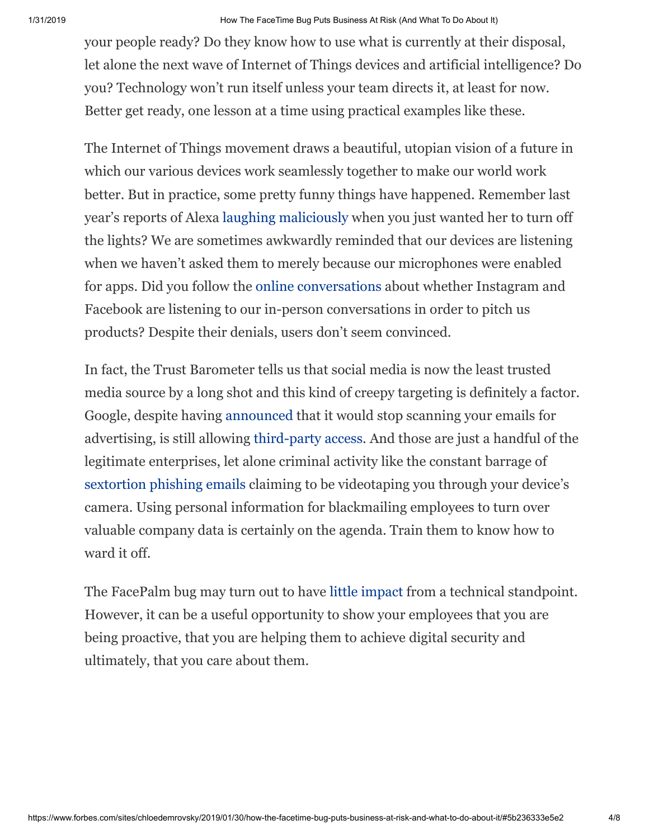#### 1/31/2019 How The FaceTime Bug Puts Business At Risk (And What To Do About It)

your people ready? Do they know how to use what is currently at their disposal, let alone the next wave of Internet of Things devices and artificial intelligence? Do you? Technology won't run itself unless your team directs it, at least for now. Better get ready, one lesson at a time using practical examples like these.

The Internet of Things movement draws a beautiful, utopian vision of a future in which our various devices work seamlessly together to make our world work better. But in practice, some pretty funny things have happened. Remember last year's reports of Alexa [laughing maliciously](https://www.buzzfeednews.com/article/venessawong/amazon-alexa-devices-are-laughing-creepy#.ohqDb2YZvr) when you just wanted her to turn off the lights? We are sometimes awkwardly reminded that our devices are listening when we haven't asked them to merely because our microphones were enabled for apps. Did you follow the [online conversations](https://globalnews.ca/news/4039276/smart-devices-facebook-listening/) about whether Instagram and Facebook are listening to our in-person conversations in order to pitch us products? Despite their denials, users don't seem convinced.

In fact, the Trust Barometer tells us that social media is now the least trusted media source by a long shot and this kind of creepy targeting is definitely a factor. Google, despite having [announced](https://www.blog.google/products/gmail/g-suite-gains-traction-in-the-enterprise-g-suites-gmail-and-consumer-gmail-to-more-closely-align/?utm_source=feedburner&utm_medium=feed&utm_campaign=Feed%3A+GoogleforWork+%28Google+Cloud+%7C+Blog%29) that it would stop scanning your emails for advertising, is still allowing [third-party access.](https://money.cnn.com/2018/09/20/technology/google-gmail-scanning/index.html) And those are just a handful of the legitimate enterprises, let alone criminal activity like the constant barrage of [sextortion phishing emails](https://krebsonsecurity.com/2018/07/sextortion-scam-uses-recipients-hacked-passwords/comment-page-15/) claiming to be videotaping you through your device's camera. Using personal information for blackmailing employees to turn over valuable company data is certainly on the agenda. Train them to know how to ward it off.

The FacePalm bug may turn out to have [little impact](https://www.forbes.com/sites/tonybradley/2019/01/29/how-freaked-out-should-you-be-about-the-apple-facetime-eavesdropping-bug/#546910867c3b) from a technical standpoint. However, it can be a useful opportunity to show your employees that you are being proactive, that you are helping them to achieve digital security and ultimately, that you care about them.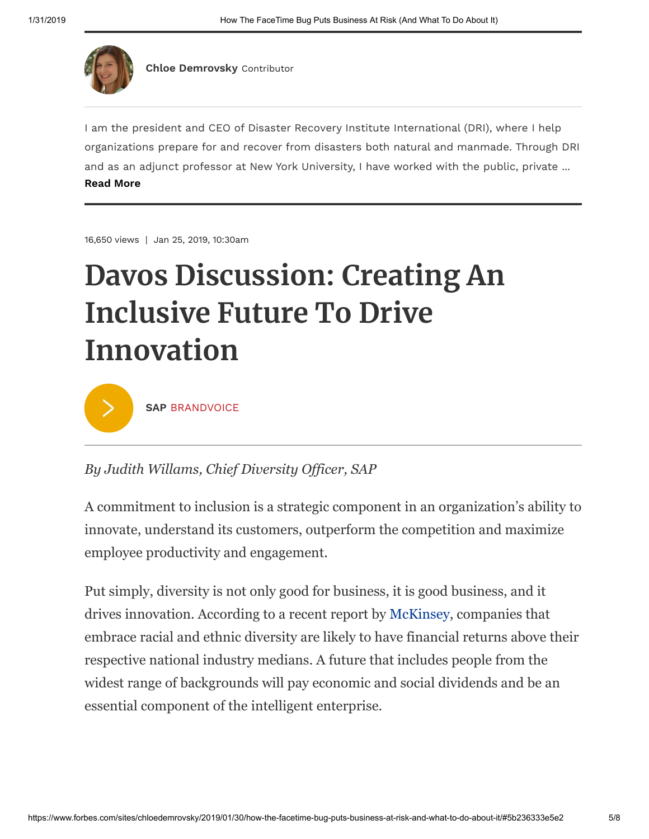

**[Chloe Demrovsky](https://www.forbes.com/sites/chloedemrovsky/)** Contributor

I am the president and CEO of Disaster Recovery Institute International (DRI), where I help organizations prepare for and recover from disasters both natural and manmade. Through DRI and as an adjunct professor at New York University, I have worked with the public, private ... **Read More**

16,650 views | Jan 25, 2019, 10:30am

# **Davos Discussion: Creating An Inclusive Future To Drive Innovation**



**[SAP](http://www.forbes.com/sites/sap/)** BRANDVOICE

## *By Judith Willams, Chief Diversity Officer, SAP*

A commitment to inclusion is a strategic component in an organization's ability to innovate, understand its customers, outperform the competition and maximize employee productivity and engagement.

Put simply, diversity is not only good for business, it is good business, and it drives innovation. According to a recent report by [McKinsey](https://www.mckinsey.com/business-functions/organization/our-insights/why-diversity-matters), companies that embrace racial and ethnic diversity are likely to have financial returns above their respective national industry medians. A future that includes people from the widest range of backgrounds will pay economic and social dividends and be an essential component of the intelligent enterprise.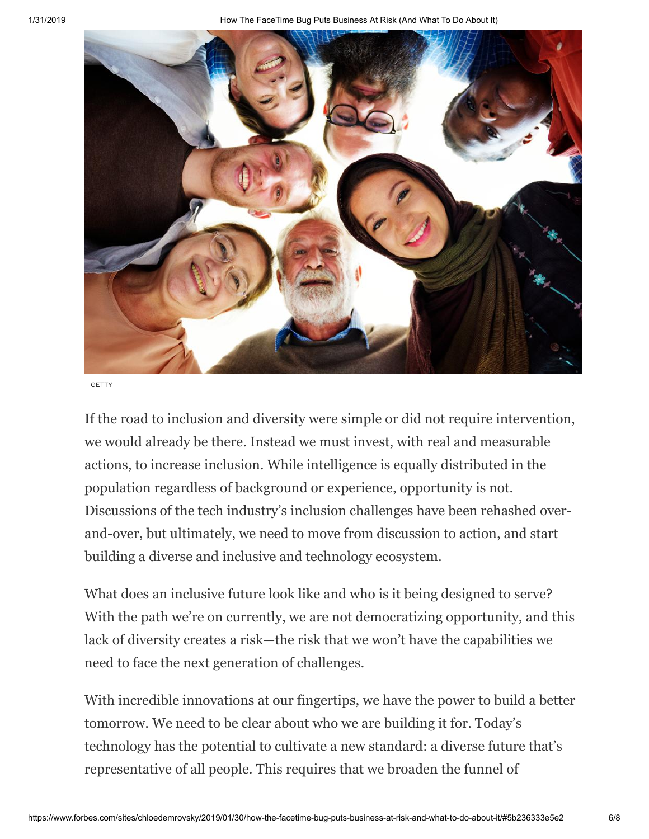

**GETTY** 

If the road to inclusion and diversity were simple or did not require intervention, we would already be there. Instead we must invest, with real and measurable actions, to increase inclusion. While intelligence is equally distributed in the population regardless of background or experience, opportunity is not. Discussions of the tech industry's inclusion challenges have been rehashed overand-over, but ultimately, we need to move from discussion to action, and start building a diverse and inclusive and technology ecosystem.

What does an inclusive future look like and who is it being designed to serve? With the path we're on currently, we are not democratizing opportunity, and this lack of diversity creates a risk—the risk that we won't have the capabilities we need to face the next generation of challenges.

With incredible innovations at our fingertips, we have the power to build a better tomorrow. We need to be clear about who we are building it for. Today's technology has the potential to cultivate a new standard: a diverse future that's representative of all people. This requires that we broaden the funnel of